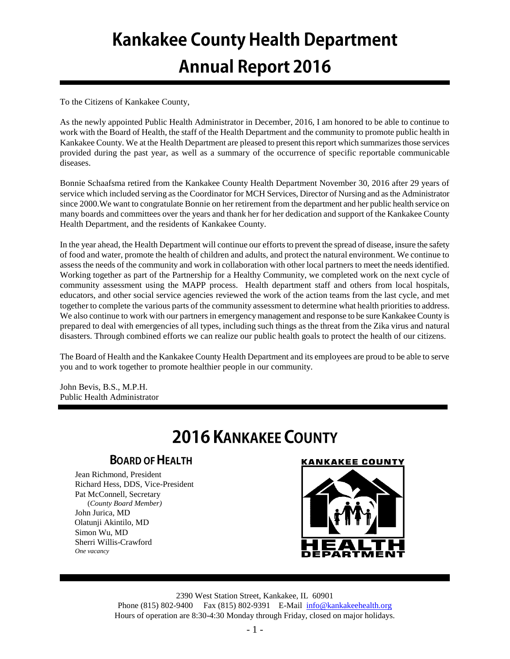# **Kankakee County Health Department Annual Report 2016**

To the Citizens of Kankakee County,

As the newly appointed Public Health Administrator in December, 2016, I am honored to be able to continue to work with the Board of Health, the staff of the Health Department and the community to promote public health in Kankakee County. We at the Health Department are pleased to present this report which summarizes those services provided during the past year, as well as a summary of the occurrence of specific reportable communicable diseases.

Bonnie Schaafsma retired from the Kankakee County Health Department November 30, 2016 after 29 years of service which included serving as the Coordinator for MCH Services, Director of Nursing and as the Administrator since 2000.We want to congratulate Bonnie on her retirement from the department and her public health service on many boards and committees over the years and thank her for her dedication and support of the Kankakee County Health Department, and the residents of Kankakee County.

In the year ahead, the Health Department will continue our efforts to prevent the spread of disease, insure the safety of food and water, promote the health of children and adults, and protect the natural environment. We continue to assess the needs of the community and work in collaboration with other local partners to meet the needs identified. Working together as part of the Partnership for a Healthy Community, we completed work on the next cycle of community assessment using the MAPP process. Health department staff and others from local hospitals, educators, and other social service agencies reviewed the work of the action teams from the last cycle, and met together to complete the various parts of the community assessment to determine what health priorities to address. We also continue to work with our partners in emergency management and response to be sure Kankakee County is prepared to deal with emergencies of all types, including such things as the threat from the Zika virus and natural disasters. Through combined efforts we can realize our public health goals to protect the health of our citizens.

The Board of Health and the Kankakee County Health Department and its employees are proud to be able to serve you and to work together to promote healthier people in our community.

John Bevis, B.S., M.P.H. Public Health Administrator

# **2016 KANKAKEE COUNTY**

# **BOARD OF HEALTH**

Jean Richmond, President Richard Hess, DDS, Vice-President Pat McConnell, Secretary (*County Board Member)* John Jurica, MD Olatunji Akintilo, MD Simon Wu, MD Sherri Willis-Crawford *One vacancy*

## **KANKAKEE COUNTY**



2390 West Station Street, Kankakee, IL 60901 Phone (815) 802-9400 Fax (815) 802-9391 E-Mail [info@kankakeehealth.org](mailto:pkankake@idphnet.com) Hours of operation are 8:30-4:30 Monday through Friday, closed on major holidays.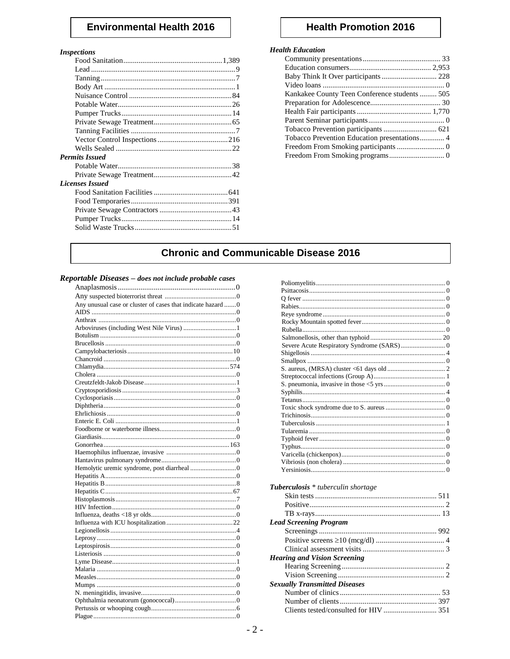# **Environmental Health 2016**

#### **Inspections**

| <b>Permits Issued</b>  |  |
|------------------------|--|
|                        |  |
|                        |  |
| <b>Licenses Issued</b> |  |
|                        |  |
|                        |  |
|                        |  |
|                        |  |
|                        |  |
|                        |  |

# **Health Promotion 2016**

#### **Health Education**

| Kankakee County Teen Conference students 505 |  |
|----------------------------------------------|--|
|                                              |  |
|                                              |  |
|                                              |  |
|                                              |  |
| Tobacco Prevention Education presentations 4 |  |
|                                              |  |
|                                              |  |
|                                              |  |

# **Chronic and Communicable Disease 2016**

#### Reportable Diseases - does not include probable cases

| Any unusual case or cluster of cases that indicate hazard 0 |
|-------------------------------------------------------------|
|                                                             |
|                                                             |
|                                                             |
|                                                             |
|                                                             |
|                                                             |
|                                                             |
|                                                             |
|                                                             |
|                                                             |
|                                                             |
|                                                             |
|                                                             |
|                                                             |
|                                                             |
|                                                             |
|                                                             |
|                                                             |
|                                                             |
|                                                             |
|                                                             |
|                                                             |
|                                                             |
|                                                             |
|                                                             |
|                                                             |
|                                                             |
|                                                             |
|                                                             |
|                                                             |
|                                                             |
|                                                             |
|                                                             |
|                                                             |
|                                                             |
|                                                             |
|                                                             |
|                                                             |
|                                                             |
|                                                             |

| Tuberculosis * tuberculin shortage   |  |
|--------------------------------------|--|
|                                      |  |
|                                      |  |
|                                      |  |
|                                      |  |
| <b>Lead Screening Program</b>        |  |
|                                      |  |
|                                      |  |
|                                      |  |
| <b>Hearing and Vision Screening</b>  |  |
|                                      |  |
|                                      |  |
| <b>Sexually Transmitted Diseases</b> |  |
|                                      |  |
|                                      |  |
|                                      |  |
|                                      |  |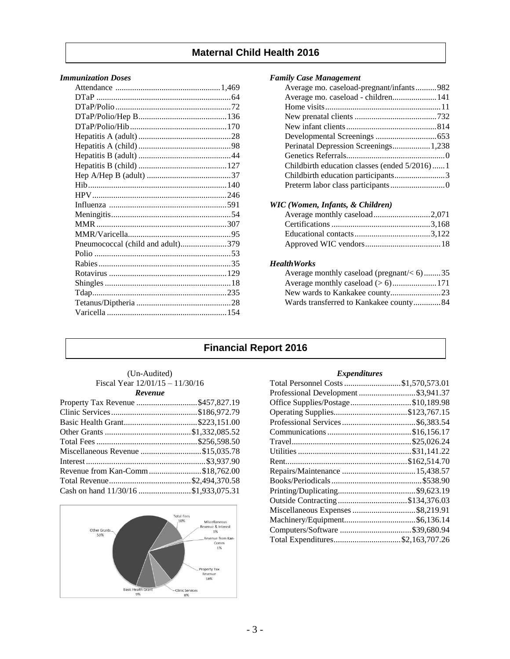# **Maternal Child Health 2016**

### *Immunization Doses*

| Pneumococcal (child and adult)379 |  |
|-----------------------------------|--|
|                                   |  |
|                                   |  |
|                                   |  |
|                                   |  |
|                                   |  |
|                                   |  |
|                                   |  |
|                                   |  |

#### *Family Case Management*

| Average mo. caseload-pregnant/infants982     |  |
|----------------------------------------------|--|
| Average mo. caseload - children 141          |  |
|                                              |  |
|                                              |  |
|                                              |  |
|                                              |  |
| Perinatal Depression Screenings 1,238        |  |
|                                              |  |
| Childbirth education classes (ended 5/2016)1 |  |
| Childbirth education participants3           |  |
|                                              |  |

#### *WIC (Women, Infants, & Children)*

#### *HealthWorks*

| Average monthly caseload (pregnant/ $<$ 6)35 |  |
|----------------------------------------------|--|
|                                              |  |
|                                              |  |
| Wards transferred to Kankakee county84       |  |

# **Financial Report 2016**

| (Un-Audited)                      |  |  |  |  |
|-----------------------------------|--|--|--|--|
| Fiscal Year $12/01/15 - 11/30/16$ |  |  |  |  |
| Revenue                           |  |  |  |  |

| Property Tax Revenue \$457,827.19    |  |
|--------------------------------------|--|
|                                      |  |
|                                      |  |
|                                      |  |
|                                      |  |
| Miscellaneous Revenue \$15,035.78    |  |
|                                      |  |
| Revenue from Kan-Comm\$18,762.00     |  |
|                                      |  |
| Cash on hand 11/30/16 \$1,933,075.31 |  |



#### *Expenditures*

| Total Personnel Costs \$1,570,573.01 |
|--------------------------------------|
| Professional Development \$3,941.37  |
| Office Supplies/Postage\$10,189.98   |
|                                      |
|                                      |
|                                      |
|                                      |
|                                      |
|                                      |
|                                      |
|                                      |
|                                      |
|                                      |
| Miscellaneous Expenses \$8,219.91    |
|                                      |
| Computers/Software \$39,680.94       |
| Total Expenditures\$2,163,707.26     |
|                                      |